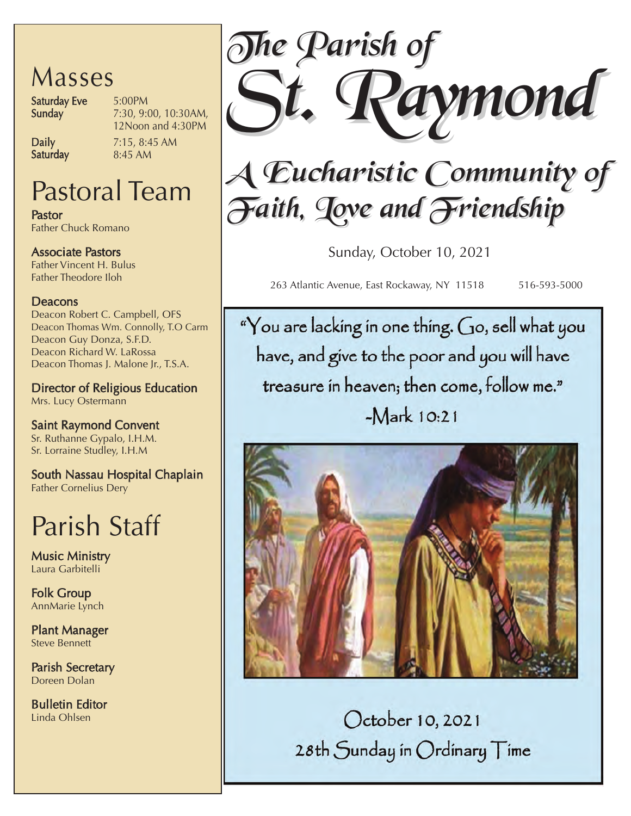## Masses

Saturday Eve 5:00PM<br>Sunday 7:30, 9:0

7:30, 9:00, 10:30AM, 12Noon and 4:30PM

Saturday

**Daily** 7:15, 8:45 AM<br>**Saturdav** 8:45 AM

## Pastoral Team

Pastor Father Chuck Romano

Associate Pastors Father Vincent H. Bulus Father Theodore Iloh

### Deacons

Deacon Robert C. Campbell, OFS Deacon Thomas Wm. Connolly, T.O Carm Deacon Guy Donza, S.F.D. Deacon Richard W. LaRossa Deacon Thomas J. Malone Jr., T.S.A.

Director of Religious Education Mrs. Lucy Ostermann

Saint Raymond Convent Sr. Ruthanne Gypalo, I.H.M. Sr. Lorraine Studley, I.H.M

South Nassau Hospital Chaplain Father Cornelius Dery

## Parish Staff

Music Ministry Laura Garbitelli

Folk Group AnnMarie Lynch

Plant Manager Steve Bennett

Parish Secretary Doreen Dolan

Bulletin Editor Linda Ohlsen



# *A Eucharistic Community of Eucharistic Community of Faith, Love and Friendship ith, Love and Friendship*

Sunday, October 10, 2021

263 Atlantic Avenue, East Rockaway, NY 11518 516-593-5000

"You are lacking in one thing. Go, sell what you have, and give to the poor and you will have treasure in heaven; then come, follow me."  $-Mark 10:21$ 



October 10, 2021 28th Sunday in Ordinary Time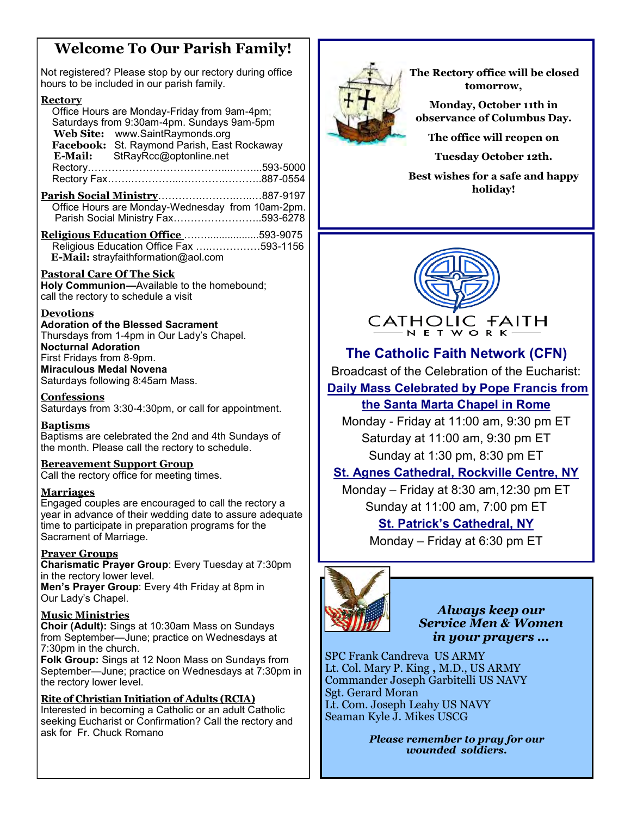## **Welcome To Our Parish Family!**

Not registered? Please stop by our rectory during office hours to be included in our parish family.

#### **Rectory**

 Office Hours are Monday-Friday from 9am-4pm; Saturdays from 9:30am-4pm. Sundays 9am-5pm  **Web Site:** www.SaintRaymonds.org Facebook: St. Raymond Parish, East Rockaway<br>**E-Mail:** StRayRcc@optonline.net  **E-Mail:** StRayRcc@optonline.net Rectory…………………………………....……...593-5000 Rectory Fax…….…………...………….………..887-0554 **Parish Social Ministry**………….……….…..…887-9197 Office Hours are Monday-Wednesday from 10am-2pm. Parish Social Ministry Fax……………………..593-6278 **Religious Education Office** ….…..................593-9075 Religious Education Office Fax ….……………593-1156  **E-Mail:** [strayfaithformation@aol.com](mailto:strayfaithformation@aol.com??)

#### **Pastoral Care Of The Sick**

**Holy Communion—**Available to the homebound; call the rectory to schedule a visit

#### **Devotions**

**Adoration of the Blessed Sacrament** Thursdays from 1-4pm in Our Lady's Chapel. **Nocturnal Adoration** First Fridays from 8-9pm. **Miraculous Medal Novena** Saturdays following 8:45am Mass.

**Confessions** 

Saturdays from 3:30-4:30pm, or call for appointment.

#### **Baptisms**

Baptisms are celebrated the 2nd and 4th Sundays of the month. Please call the rectory to schedule.

#### **Bereavement Support Group**

Call the rectory office for meeting times.

#### **Marriages**

Engaged couples are encouraged to call the rectory a year in advance of their wedding date to assure adequate time to participate in preparation programs for the Sacrament of Marriage.

#### **Prayer Groups**

**Charismatic Prayer Group**: Every Tuesday at 7:30pm in the rectory lower level.

**Men's Prayer Group**: Every 4th Friday at 8pm in Our Lady's Chapel.

#### **Music Ministries**

**Choir (Adult):** Sings at 10:30am Mass on Sundays from September—June; practice on Wednesdays at 7:30pm in the church.

**Folk Group:** Sings at 12 Noon Mass on Sundays from September—June; practice on Wednesdays at 7:30pm in the rectory lower level.

#### **Rite of Christian Initiation of Adults (RCIA)**

Interested in becoming a Catholic or an adult Catholic seeking Eucharist or Confirmation? Call the rectory and ask for Fr. Chuck Romano



 **The Rectory office will be closed tomorrow,** 

**Monday, October 11th in observance of Columbus Day.** 

**The office will reopen on** 

**Tuesday October 12th.** 

**Best wishes for a safe and happy holiday!**



## **The Catholic Faith Network (CFN)**

Broadcast of the Celebration of the Eucharist:

**[Daily Mass Celebrated by Pope Francis from](https://www.catholicfaithnetwork.org/daily-mass-santa-marta-chapel-rome)** 

## **[the Santa Marta Chapel in Rome](https://www.catholicfaithnetwork.org/daily-mass-santa-marta-chapel-rome)**

Monday - Friday at 11:00 am, 9:30 pm ET Saturday at 11:00 am, 9:30 pm ET Sunday at 1:30 pm, 8:30 pm ET

### **[St. Agnes Cathedral, Rockville Centre, NY](https://www.catholicfaithnetwork.org/st-agnes-cathedral-mass)**

Monday – Friday at 8:30 am,12:30 pm ET Sunday at 11:00 am, 7:00 pm ET

### **St. Patrick'[s Cathedral, NY](https://www.catholicfaithnetwork.org/st-patricks-cathedral-mass)**

Monday – Friday at 6:30 pm ET



*Always keep our Service Men & Women in your prayers ...* 

SPC Frank Candreva US ARMY Lt. Col. Mary P. King **,** M.D., US ARMY Commander Joseph Garbitelli US NAVY Sgt. Gerard Moran Lt. Com. Joseph Leahy US NAVY Seaman Kyle J. Mikes USCG

> *Please remember to pray for our wounded soldiers.*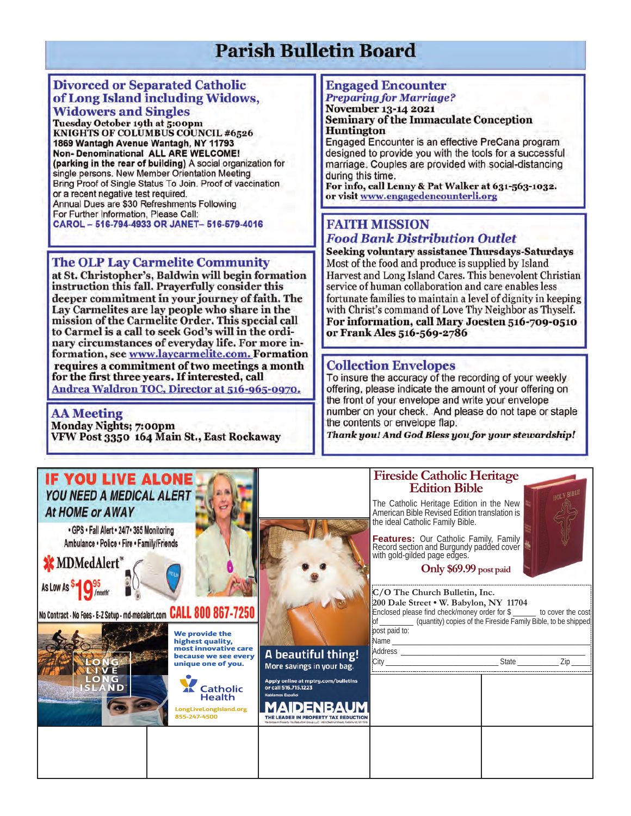## **Parish Bulletin Board**

#### **Divorced or Separated Catholic** of Long Island including Widows, **Widowers and Singles**

Tuesday October 19th at 5:00pm KNIGHTS OF COLUMBUS COUNCIL #6526 1869 Wantagh Avenue Wantagh, NY 11793 **Non- Denominational ALL ARE WELCOME!** (parking in the rear of building) A social organization for single persons. New Member Orientation Meeting Bring Proof of Single Status To Join. Proof of vaccination or a recent negative test required. Annual Dues are \$30 Refreshments Following For Further Information, Please Call: CAROL - 516-794-4933 OR JANET- 516-579-4016

#### **The OLP Lay Carmelite Community**

at St. Christopher's, Baldwin will begin formation instruction this fall. Prayerfully consider this deeper commitment in your journey of faith. The Lay Carmelites are lay people who share in the<br>mission of the Carmelite Order. This special call to Carmel is a call to seek God's will in the ordinary circumstances of everyday life. For more information, see www.laycarmelite.com. Formation requires a commitment of two meetings a month for the first three years. If interested, call Andrea Waldron TOC, Director at 516-965-0970.

**AA** Meeting **Monday Nights; 7:00pm** VFW Post 3350 164 Main St., East Rockaway

## **Engaged Encounter**

#### **Preparing for Marriage?** November 13-14 2021 **Seminary of the Immaculate Conception Huntington**

Engaged Encounter is an effective PreCana program designed to provide you with the tools for a successful marriage. Couples are provided with social-distancing during this time.

For info, call Lenny & Pat Walker at 631-563-1032. or visit www.engagedencounterli.org

### **FAITH MISSION Food Bank Distribution Outlet**

**Seeking voluntary assistance Thursdays-Saturdays** Most of the food and produce is supplied by Island Harvest and Long Island Cares. This benevolent Christian service of human collaboration and care enables less fortunate families to maintain a level of dignity in keeping with Christ's command of Love Thy Neighbor as Thyself. For information, call Mary Joesten 516-709-0510 or Frank Ales 516-569-2786

#### **Collection Envelopes**

To insure the accuracy of the recording of your weekly offering, please indicate the amount of your offering on the front of your envelope and write your envelope number on your check. And please do not tape or staple the contents or envelope flap.

Thank you! And God Bless you for your stewardship!

#### Fireside Catholic Heritage<br>Edition Bible **IF YOU LIVE ALONE YOU NEED A MEDICAL ALERT** The Catholic Heritage Edition in the New At HOME or AWAY American Bible Revised Edition translation is the ideal Catholic Family Bible. · GPS · Fall Alert · 24/7 · 365 Monitoring Features: Our Catholic Family, Family Ambulance . Police . Fire . Family/Friends Record section and Burgundy padded cover with gold-gilded page edges. **XX MDMedAlert** Only \$69.99 post paid As Low As C/O The Church Bulletin, Inc. 200 Dale Street . W. Babylon, NY 11704 No Contract - No Fees - E-Z Setup - md-medalert.com CALL 800 867-7250 Enclosed please find check/money order for \$ to cover the cost of (quantity) copies of the Fireside Family Bible, to be shipped post paid to: We provide the Name highest quality, most innovative care<br>because we see every Address A beautiful thing! City State Zip unique one of you. More savings in your bag. Apply online at mptrg.com/bulletins<br>or call 516.715.1223 **XX** Catholic **Health** os Español **MAIDENBAUM** LongLiveLongIsland.org 855-247-4500 THE LEADER IN PROPERTY TAX REDUCTIC